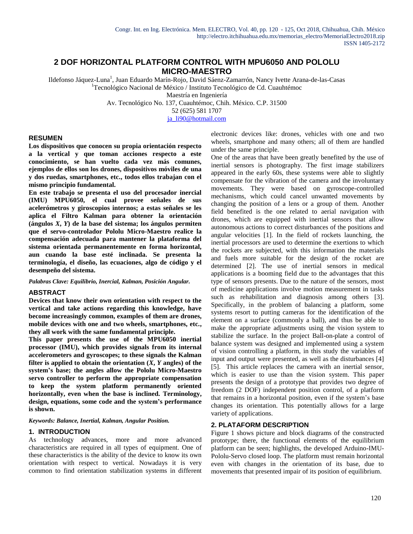# **2 DOF HORIZONTAL PLATFORM CONTROL WITH MPU6050 AND POLOLU MICRO-MAESTRO**

Ildefonso Jáquez-Luna<sup>1</sup>, Juan Eduardo Marín-Rojo, David Sáenz-Zamarrón, Nancy Ivette Arana-de-las-Casas <sup>1</sup> Tecnológico Nacional de México / Instituto Tecnológico de Cd. Cuauhtémoc

Maestría en Ingeniería

Av. Tecnológico No. 137, Cuauhtémoc, Chih. México. C.P. 31500

52 (625) 581 1707

ja\_li90@hotmail.com

## **RESUMEN**

**Los dispositivos que conocen su propia orientación respecto a la vertical y que toman acciones respecto a este conocimiento, se han vuelto cada vez más comunes, ejemplos de ellos son los drones, dispositivos móviles de una y dos ruedas, smartphones, etc., todos ellos trabajan con el mismo principio fundamental.**

**En este trabajo se presenta el uso del procesador inercial (IMU) MPU6050, el cual provee señales de sus acelerómetros y giroscopios internos; a estas señales se les aplica el Filtro Kalman para obtener la orientación (ángulos** *X***,** *Y***) de la base del sistema; los ángulos permiten que el servo-controlador Pololu Micro-Maestro realice la compensación adecuada para mantener la plataforma del sistema orientada permanentemente en forma horizontal, aun cuando la base esté inclinada. Se presenta la terminología, el diseño, las ecuaciones, algo de código y el desempeño del sistema.**

*Palabras Clave: Equilibrio, Inercial, Kalman, Posición Angular.*

## **ABSTRACT**

**Devices that know their own orientation with respect to the vertical and take actions regarding this knowledge, have become increasingly common, examples of them are drones, mobile devices with one and two wheels, smartphones, etc., they all work with the same fundamental principle.**

**This paper presents the use of the MPU6050 inertial processor (IMU), which provides signals from its internal accelerometers and gyroscopes; to these signals the Kalman filter is applied to obtain the orientation**  $(X, Y)$  **angles) of the system's base; the angles allow the Pololu Micro-Maestro servo controller to perform the appropriate compensation to keep the system platform permanently oriented horizontally, even when the base is inclined. Terminology, design, equations, some code and the system's performance is shown.**

*Keywords: Balance, Inertial, Kalman, Angular Position.*

## **1. INTRODUCTION**

As technology advances, more and more advanced characteristics are required in all types of equipment. One of these characteristics is the ability of the device to know its own orientation with respect to vertical. Nowadays it is very common to find orientation stabilization systems in different electronic devices like: drones, vehicles with one and two wheels, smartphone and many others; all of them are handled under the same principle.

One of the areas that have been greatly benefited by the use of inertial sensors is photography. The first image stabilizers appeared in the early 60s, these systems were able to slightly compensate for the vibration of the camera and the involuntary movements. They were based on gyroscope-controlled mechanisms, which could cancel unwanted movements by changing the position of a lens or a group of them. Another field benefited is the one related to aerial navigation with drones, which are equipped with inertial sensors that allow autonomous actions to correct disturbances of the positions and angular velocities [1]. In the field of rockets launching, the inertial processors are used to determine the exertions to which the rockets are subjected, with this information the materials and fuels more suitable for the design of the rocket are determined [2]. The use of inertial sensors in medical applications is a booming field due to the advantages that this type of sensors presents. Due to the nature of the sensors, most of medicine applications involve motion measurement in tasks such as rehabilitation and diagnosis among others [3]. Specifically, in the problem of balancing a platform, some systems resort to putting cameras for the identification of the element on a surface (commonly a ball), and thus be able to make the appropriate adjustments using the vision system to stabilize the surface. In the project Ball-on-plate a control of balance system was designed and implemented using a system of vision controlling a platform, in this study the variables of input and output were presented, as well as the disturbances [4] [5]. This article replaces the camera with an inertial sensor, which is easier to use than the vision system. This paper presents the design of a prototype that provides two degree of freedom (2 DOF) independent position control, of a platform that remains in a horizontal position, even if the system's base changes its orientation. This potentially allows for a large variety of applications.

## **2. PLATAFORM DESCRIPTION**

Figure 1 shows picture and block diagrams of the constructed prototype; there, the functional elements of the equilibrium platform can be seen; highlights, the developed Arduino-IMU-Pololu-Servo closed loop. The platform must remain horizontal even with changes in the orientation of its base, due to movements that presented impair of its position of equilibrium.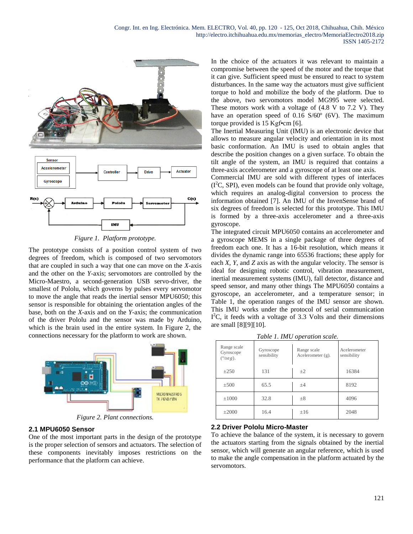

*Figure 1. Platform prototype.*

The prototype consists of a position control system of two degrees of freedom, which is composed of two servomotors that are coupled in such a way that one can move on the *X*-axis and the other on the *Y*-axis; servomotors are controlled by the Micro-Maestro, a second-generation USB servo-driver, the smallest of Pololu, which governs by pulses every servomotor to move the angle that reads the inertial sensor MPU6050; this sensor is responsible for obtaining the orientation angles of the base, both on the *X*-axis and on the *Y*-axis; the communication of the driver Pololu and the sensor was made by Arduino, which is the brain used in the entire system. In Figure 2, the connections necessary for the platform to work are shown.



*Figure 2. Plant connections.*

## **2.1 MPU6050 Sensor**

One of the most important parts in the design of the prototype is the proper selection of sensors and actuators. The selection of these components inevitably imposes restrictions on the performance that the platform can achieve.

In the choice of the actuators it was relevant to maintain a compromise between the speed of the motor and the torque that it can give. Sufficient speed must be ensured to react to system disturbances. In the same way the actuators must give sufficient torque to hold and mobilize the body of the platform. Due to the above, two servomotors model MG995 were selected. These motors work with a voltage of (4.8 V to 7.2 V). They have an operation speed of 0.16 S/60<sup>°</sup> (6V). The maximum torque provided is 15 Kgf•cm [6].

The Inertial Measuring Unit (IMU) is an electronic device that allows to measure angular velocity and orientation in its most basic conformation. An IMU is used to obtain angles that describe the position changes on a given surface. To obtain the tilt angle of the system, an IMU is required that contains a three-axis accelerometer and a gyroscope of at least one axis.

Commercial IMU are sold with different types of interfaces  $(I<sup>2</sup>C, SPI)$ , even models can be found that provide only voltage, which requires an analog-digital conversion to process the information obtained [7]. An IMU of the InvenSense brand of six degrees of freedom is selected for this prototype. This IMU is formed by a three-axis accelerometer and a three-axis gyroscope.

The integrated circuit MPU6050 contains an accelerometer and a gyroscope MEMS in a single package of three degrees of freedom each one. It has a 16-bit resolution, which means it divides the dynamic range into 65536 fractions; these apply for each *X*, *Y*, and *Z* axis as with the angular velocity. The sensor is ideal for designing robotic control, vibration measurement, inertial measurement systems (IMU), fall detector, distance and speed sensor, and many other things The MPU6050 contains a gyroscope, an accelerometer, and a temperature sensor; in Table 1, the operation ranges of the IMU sensor are shown. This IMU works under the protocol of serial communication I<sup>2</sup>C, it feeds with a voltage of 3.3 Volts and their dimensions are small [8][9][10].

*Table 1. IMU operation scale.*

| Range scale<br>Gyroscope<br>$(^{\circ}/\text{seg})$ . | Gyroscope<br>sensibility | Range scale<br>Acelerometer $(g)$ . | Acelerometer<br>sensibility |
|-------------------------------------------------------|--------------------------|-------------------------------------|-----------------------------|
| $\pm 250$                                             | 131                      | $+2$                                | 16384                       |
| $\pm 500$                                             | 65.5                     | $+4$                                | 8192                        |
| $\pm 1000$                                            | 32.8                     | $\pm 8$                             | 4096                        |
| $\pm 2000$                                            | 16.4                     | ±16                                 | 2048                        |

## **2.2 Driver Pololu Micro-Master**

To achieve the balance of the system, it is necessary to govern the actuators starting from the signals obtained by the inertial sensor, which will generate an angular reference, which is used to make the angle compensation in the platform actuated by the servomotors.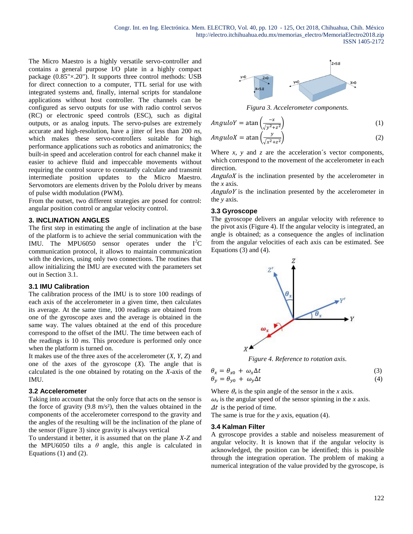The Micro Maestro is a highly versatile servo-controller and contains a general purpose I/O plate in a highly compact package (0.85"×.20"). It supports three control methods: USB for direct connection to a computer, TTL serial for use with integrated systems and, finally, internal scripts for standalone applications without host controller. The channels can be configured as servo outputs for use with radio control servos (RC) or electronic speed controls (ESC), such as digital outputs, or as analog inputs. The servo-pulses are extremely accurate and high-resolution, have a jitter of less than 200 *ns*, which makes these servo-controllers suitable for high performance applications such as robotics and animatronics; the built-in speed and acceleration control for each channel make it easier to achieve fluid and impeccable movements without requiring the control source to constantly calculate and transmit intermediate position updates to the Micro Maestro. Servomotors are elements driven by the Pololu driver by means of pulse width modulation (PWM).

From the outset, two different strategies are posed for control: angular position control or angular velocity control.

## **3. INCLINATION ANGLES**

The first step in estimating the angle of inclination at the base of the platform is to achieve the serial communication with the IMU. The MPU6050 sensor operates under the  $I^2C$ communication protocol, it allows to maintain communication with the devices, using only two connections. The routines that allow initializing the IMU are executed with the parameters set out in Section 3.1.

#### **3.1 IMU Calibration**

The calibration process of the IMU is to store 100 readings of each axis of the accelerometer in a given time, then calculates its average. At the same time, 100 readings are obtained from one of the gyroscope axes and the average is obtained in the same way. The values obtained at the end of this procedure correspond to the offset of the IMU. The time between each of the readings is 10 *ms*. This procedure is performed only once when the platform is turned on.

It makes use of the three axes of the accelerometer (*X*, *Y*, *Z*) and one of the axes of the gyroscope (*X*). The angle that is calculated is the one obtained by rotating on the *X*-axis of the IMU.

#### **3.2 Accelerometer**

Taking into account that the only force that acts on the sensor is the force of gravity  $(9.8 \text{ m/s}^2)$ , then the values obtained in the components of the accelerometer correspond to the gravity and the angles of the resulting will be the inclination of the plane of the sensor (Figure 3) since gravity is always vertical

To understand it better, it is assumed that on the plane *X*-*Z* and the MPU6050 tilts a  $\theta$  angle, this angle is calculated in Equations (1) and (2).



*Figura 3. Accelerometer components.*

$$
Angular V = \text{atan} \left( \frac{-x}{\sqrt{y^2 + z^2}} \right) \tag{1}
$$

$$
AnguloX = \text{atan}\left(\frac{y}{\sqrt{x^2 + z^2}}\right) \tag{2}
$$

Where *x*, *y* and *z* are the acceleration´s vector components, which correspond to the movement of the accelerometer in each direction.

 $AnguloX$  is the inclination presented by the accelerometer in the *x* axis.

 $AnguloY$  is the inclination presented by the accelerometer in the *y* axis.

#### **3.3 Gyroscope**

The gyroscope delivers an angular velocity with reference to the pivot axis (Figure 4). If the angular velocity is integrated, an angle is obtained; as a consequence the angles of inclination from the angular velocities of each axis can be estimated. See Equations (3) and (4).



*Figure 4. Reference to rotation axis.*

$$
\begin{aligned}\n\theta_x &= \theta_{x0} + \omega_x \Delta t \\
\theta_y &= \theta_{y0} + \omega_y \Delta t\n\end{aligned} \tag{3}
$$

Where  $\theta_x$  is the spin angle of the sensor in the *x* axis.  $\omega_x$  is the angular speed of the sensor spinning in the *x* axis.  $\Delta t$  is the period of time.

The same is true for the *y* axis, equation (4).

#### **3.4 Kalman Filter**

A gyroscope provides a stable and noiseless measurement of angular velocity. It is known that if the angular velocity is acknowledged, the position can be identified; this is possible through the integration operation. The problem of making a numerical integration of the value provided by the gyroscope, is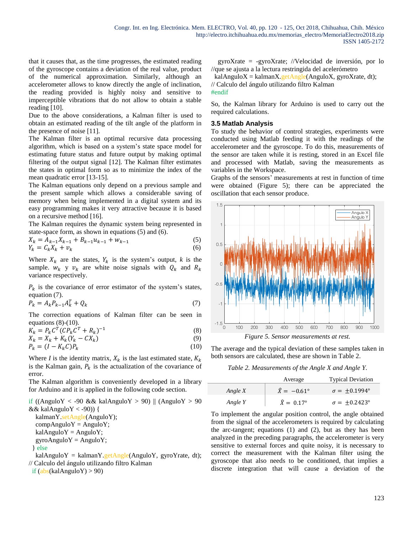that it causes that, as the time progresses, the estimated reading of the gyroscope contains a deviation of the real value, product of the numerical approximation. Similarly, although an accelerometer allows to know directly the angle of inclination, the reading provided is highly noisy and sensitive to imperceptible vibrations that do not allow to obtain a stable reading [10].

Due to the above considerations, a Kalman filter is used to obtain an estimated reading of the tilt angle of the platform in the presence of noise [11].

The Kalman filter is an optimal recursive data processing algorithm, which is based on a system's state space model for estimating future status and future output by making optimal filtering of the output signal [12]. The Kalman filter estimates the states in optimal form so as to minimize the index of the mean quadratic error [13-15].

The Kalman equations only depend on a previous sample and the present sample which allows a considerable saving of memory when being implemented in a digital system and its easy programming makes it very attractive because it is based on a recursive method [16].

The Kalman requires the dynamic system being represented in state-space form, as shown in equations (5) and (6).

$$
X_k = \hat{A}_{k-1} X_{k-1} + B_{k-1} u_{k-1} + w_{k-1}
$$
  
\n
$$
Y_k = C_k X_k + v_k
$$
\n(5)

Where  $X_k$  are the states,  $Y_k$  is the system's output, k is the sample.  $w_k$  y  $v_k$  are white noise signals with  $Q_k$  and  $R_k$ variance respectively.

 $P_k$  is the covariance of error estimator of the system's states, equation (7).

$$
P_k = A_k P_{k-1} A_k^T + Q_k \tag{7}
$$

The correction equations of Kalman filter can be seen in equations  $(8)-(10)$ .

$$
K_k = P_k C^T (C P_k C^T + R_k)^{-1}
$$
\n
$$
(8)
$$

$$
X_k = X_k + K_k(Y_k - CX_k)
$$
\n<sup>(9)</sup>

$$
P_k = (I - K_k C)P_k \tag{10}
$$

Where *I* is the identity matrix,  $X_k$  is the last estimated state,  $K_k$ is the Kalman gain,  $P_k$  is the actualization of the covariance of error.

The Kalman algorithm is conveniently developed in a library for Arduino and it is applied in the following code section.

if ((AnguloY < -90 && kalAnguloY > 90) || (AnguloY > 90) && kalAnguloY  $\langle$  -90)) { kalmanY.setAngle(AnguloY);

 $compAnguloY = AnguloY;$  $k$ alAnguloY = AnguloY;  $gyroAnguloY = AnguloY;$ 

$$
\} else
$$

kalAnguloY = kalmanY.getAngle(AnguloY, gyroYrate, dt); // Calculo del ángulo utilizando filtro Kalman

if  $(abs(kalAnguloY) > 90)$ 

 gyroXrate = -gyroXrate; //Velocidad de inversión, por lo //que se ajusta a la lectura restringida del acelerómetro

kalAnguloX = kalmanX.getAngle(AnguloX, gyroXrate, dt); // Calculo del ángulo utilizando filtro Kalman

#### #endif

So, the Kalman library for Arduino is used to carry out the required calculations.

## **3.5 Matlab Analysis**

To study the behavior of control strategies, experiments were conducted using Matlab feeding it with the readings of the accelerometer and the gyroscope. To do this, measurements of the sensor are taken while it is resting, stored in an Excel file and processed with Matlab, saving the measurements as variables in the Workspace.

Graphs of the sensors' measurements at rest in function of time were obtained (Figure 5); there can be appreciated the oscillation that each sensor produce.



The average and the typical deviation of these samples taken in both sensors are calculated, these are shown in Table 2.

*Table 2. Measurements of the Angle X and Angle Y.*

|         | Average                   | <b>Typical Deviation</b>   |
|---------|---------------------------|----------------------------|
| Angle X | $\hat{X} = -0.61^{\circ}$ | $\sigma = +0.1994^{\circ}$ |
| Angle Y | $\hat{X} = 0.17^{\circ}$  | $\sigma = +0.2423^{\circ}$ |

To implement the angular position control, the angle obtained from the signal of the accelerometers is required by calculating the arc-tangent; equations (1) and (2), but as they has been analyzed in the preceding paragraphs, the accelerometer is very sensitive to external forces and quite noisy, it is necessary to correct the measurement with the Kalman filter using the gyroscope that also needs to be conditioned, that implies a discrete integration that will cause a deviation of the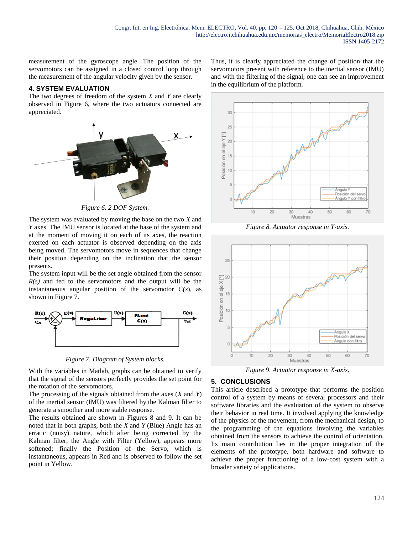measurement of the gyroscope angle. The position of the servomotors can be assigned in a closed control loop through the measurement of the angular velocity given by the sensor.

## **4. SYSTEM EVALUATION**

The two degrees of freedom of the system *X* and *Y* are clearly observed in Figure 6, where the two actuators connected are appreciated.



*Figure 6. 2 DOF System.*

The system was evaluated by moving the base on the two *X* and *Y* axes. The IMU sensor is located at the base of the system and at the moment of moving it on each of its axes, the reaction exerted on each actuator is observed depending on the axis being moved. The servomotors move in sequences that change their position depending on the inclination that the sensor presents.

The system input will be the set angle obtained from the sensor *R(s)* and fed to the servomotors and the output will be the instantaneous angular position of the servomotor  $C(s)$ , as shown in Figure 7.



*Figure 7. Diagram of System blocks.*

With the variables in Matlab, graphs can be obtained to verify that the signal of the sensors perfectly provides the set point for the rotation of the servomotors.

The processing of the signals obtained from the axes (*X* and *Y*) of the inertial sensor (IMU) was filtered by the Kalman filter to generate a smoother and more stable response.

The results obtained are shown in Figures 8 and 9. It can be noted that in both graphs, both the *X* and *Y* (Blue) Angle has an erratic (noisy) nature, which after being corrected by the Kalman filter, the Angle with Filter (Yellow), appears more softened; finally the Position of the Servo, which is instantaneous, appears in Red and is observed to follow the set point in Yellow.

Thus, it is clearly appreciated the change of position that the servomotors present with reference to the inertial sensor (IMU) and with the filtering of the signal, one can see an improvement in the equilibrium of the platform.



*Figure 8. Actuator response in Y-axis.*



*Figure 9. Actuator response in X-axis.*

# **5. CONCLUSIONS**

This article described a prototype that performs the position control of a system by means of several processors and their software libraries and the evaluation of the system to observe their behavior in real time. It involved applying the knowledge of the physics of the movement, from the mechanical design, to the programming of the equations involving the variables obtained from the sensors to achieve the control of orientation. Its main contribution lies in the proper integration of the elements of the prototype, both hardware and software to achieve the proper functioning of a low-cost system with a broader variety of applications.